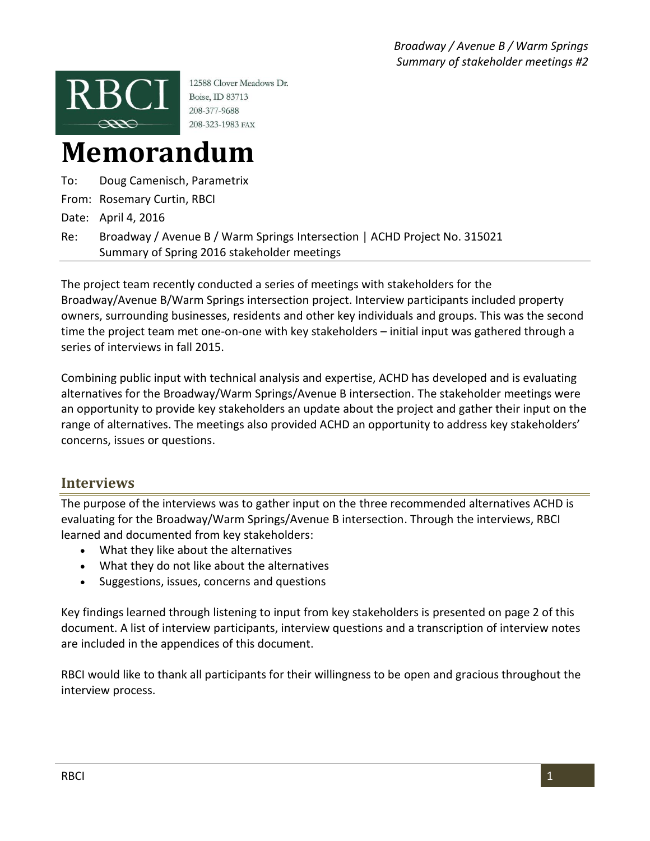

12588 Clover Meadows Dr. Boise, ID 83713 208-377-9688 208-323-1983 FAX

# **Memorandum**

To: Doug Camenisch, Parametrix

From: Rosemary Curtin, RBCI

Date: April 4, 2016

Re: Broadway / Avenue B / Warm Springs Intersection | ACHD Project No. 315021 Summary of Spring 2016 stakeholder meetings

The project team recently conducted a series of meetings with stakeholders for the Broadway/Avenue B/Warm Springs intersection project. Interview participants included property owners, surrounding businesses, residents and other key individuals and groups. This was the second time the project team met one-on-one with key stakeholders – initial input was gathered through a series of interviews in fall 2015.

Combining public input with technical analysis and expertise, ACHD has developed and is evaluating alternatives for the Broadway/Warm Springs/Avenue B intersection. The stakeholder meetings were an opportunity to provide key stakeholders an update about the project and gather their input on the range of alternatives. The meetings also provided ACHD an opportunity to address key stakeholders' concerns, issues or questions.

## **Interviews**

The purpose of the interviews was to gather input on the three recommended alternatives ACHD is evaluating for the Broadway/Warm Springs/Avenue B intersection. Through the interviews, RBCI learned and documented from key stakeholders:

- What they like about the alternatives
- What they do not like about the alternatives
- Suggestions, issues, concerns and questions

Key findings learned through listening to input from key stakeholders is presented on page 2 of this document. A list of interview participants, interview questions and a transcription of interview notes are included in the appendices of this document.

RBCI would like to thank all participants for their willingness to be open and gracious throughout the interview process.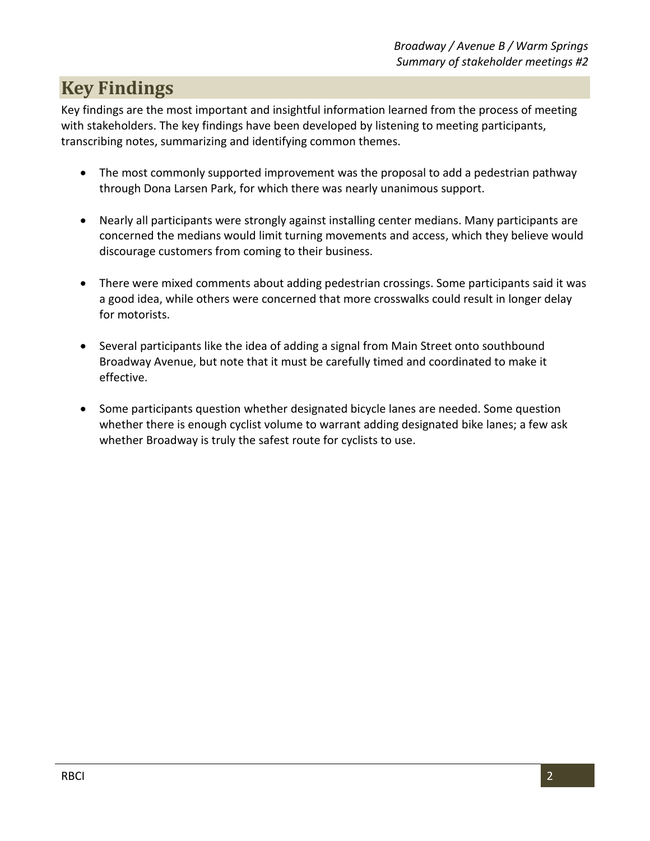# **Key Findings**

Key findings are the most important and insightful information learned from the process of meeting with stakeholders. The key findings have been developed by listening to meeting participants, transcribing notes, summarizing and identifying common themes.

- The most commonly supported improvement was the proposal to add a pedestrian pathway through Dona Larsen Park, for which there was nearly unanimous support.
- Nearly all participants were strongly against installing center medians. Many participants are concerned the medians would limit turning movements and access, which they believe would discourage customers from coming to their business.
- There were mixed comments about adding pedestrian crossings. Some participants said it was a good idea, while others were concerned that more crosswalks could result in longer delay for motorists.
- Several participants like the idea of adding a signal from Main Street onto southbound Broadway Avenue, but note that it must be carefully timed and coordinated to make it effective.
- Some participants question whether designated bicycle lanes are needed. Some question whether there is enough cyclist volume to warrant adding designated bike lanes; a few ask whether Broadway is truly the safest route for cyclists to use.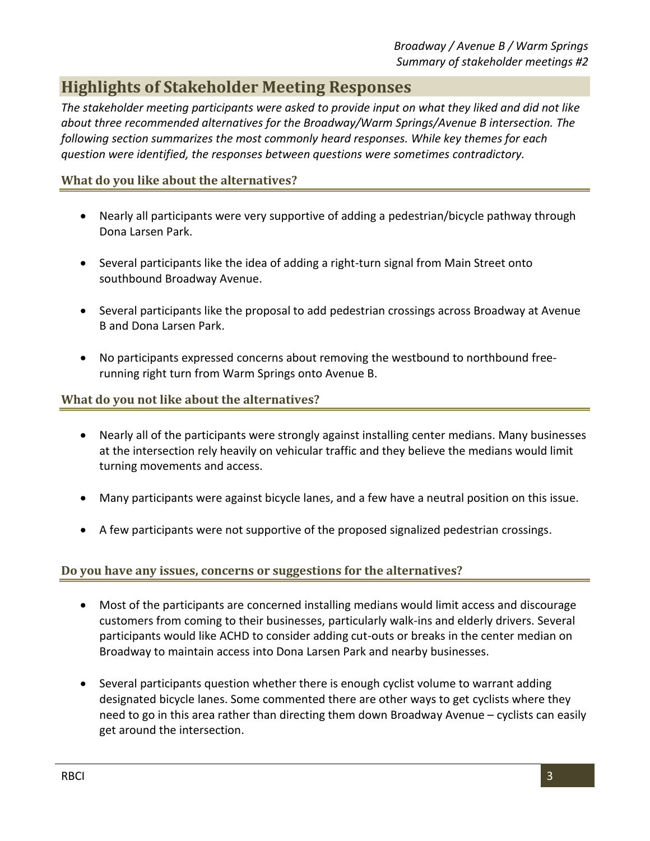# **Highlights of Stakeholder Meeting Responses**

*The stakeholder meeting participants were asked to provide input on what they liked and did not like about three recommended alternatives for the Broadway/Warm Springs/Avenue B intersection. The following section summarizes the most commonly heard responses. While key themes for each question were identified, the responses between questions were sometimes contradictory.*

#### **What do you like about the alternatives?**

- Nearly all participants were very supportive of adding a pedestrian/bicycle pathway through Dona Larsen Park.
- Several participants like the idea of adding a right-turn signal from Main Street onto southbound Broadway Avenue.
- Several participants like the proposal to add pedestrian crossings across Broadway at Avenue B and Dona Larsen Park.
- No participants expressed concerns about removing the westbound to northbound freerunning right turn from Warm Springs onto Avenue B.

#### **What do you not like about the alternatives?**

- Nearly all of the participants were strongly against installing center medians. Many businesses at the intersection rely heavily on vehicular traffic and they believe the medians would limit turning movements and access.
- Many participants were against bicycle lanes, and a few have a neutral position on this issue.
- A few participants were not supportive of the proposed signalized pedestrian crossings.

#### **Do you have any issues, concerns or suggestions for the alternatives?**

- Most of the participants are concerned installing medians would limit access and discourage customers from coming to their businesses, particularly walk-ins and elderly drivers. Several participants would like ACHD to consider adding cut-outs or breaks in the center median on Broadway to maintain access into Dona Larsen Park and nearby businesses.
- Several participants question whether there is enough cyclist volume to warrant adding designated bicycle lanes. Some commented there are other ways to get cyclists where they need to go in this area rather than directing them down Broadway Avenue – cyclists can easily get around the intersection.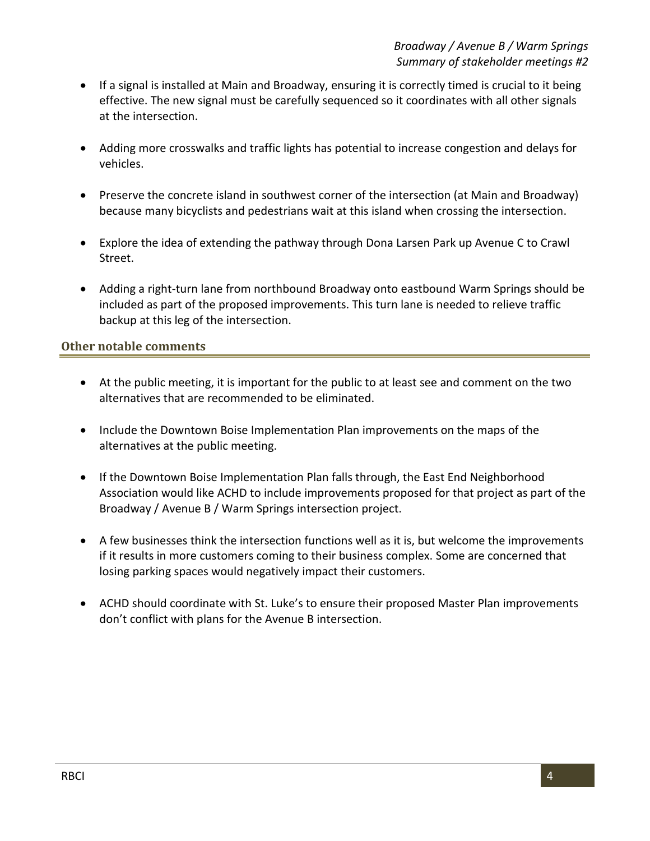- If a signal is installed at Main and Broadway, ensuring it is correctly timed is crucial to it being effective. The new signal must be carefully sequenced so it coordinates with all other signals at the intersection.
- Adding more crosswalks and traffic lights has potential to increase congestion and delays for vehicles.
- Preserve the concrete island in southwest corner of the intersection (at Main and Broadway) because many bicyclists and pedestrians wait at this island when crossing the intersection.
- Explore the idea of extending the pathway through Dona Larsen Park up Avenue C to Crawl Street.
- Adding a right-turn lane from northbound Broadway onto eastbound Warm Springs should be included as part of the proposed improvements. This turn lane is needed to relieve traffic backup at this leg of the intersection.

#### **Other notable comments**

- At the public meeting, it is important for the public to at least see and comment on the two alternatives that are recommended to be eliminated.
- Include the Downtown Boise Implementation Plan improvements on the maps of the alternatives at the public meeting.
- If the Downtown Boise Implementation Plan falls through, the East End Neighborhood Association would like ACHD to include improvements proposed for that project as part of the Broadway / Avenue B / Warm Springs intersection project.
- A few businesses think the intersection functions well as it is, but welcome the improvements if it results in more customers coming to their business complex. Some are concerned that losing parking spaces would negatively impact their customers.
- ACHD should coordinate with St. Luke's to ensure their proposed Master Plan improvements don't conflict with plans for the Avenue B intersection.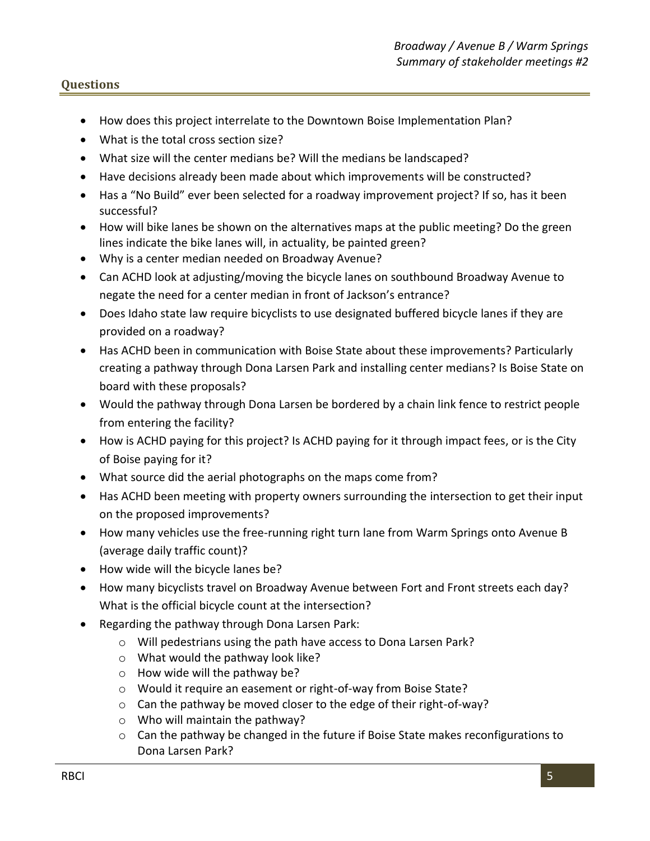- How does this project interrelate to the Downtown Boise Implementation Plan?
- What is the total cross section size?
- What size will the center medians be? Will the medians be landscaped?
- Have decisions already been made about which improvements will be constructed?
- Has a "No Build" ever been selected for a roadway improvement project? If so, has it been successful?
- How will bike lanes be shown on the alternatives maps at the public meeting? Do the green lines indicate the bike lanes will, in actuality, be painted green?
- Why is a center median needed on Broadway Avenue?
- Can ACHD look at adjusting/moving the bicycle lanes on southbound Broadway Avenue to negate the need for a center median in front of Jackson's entrance?
- Does Idaho state law require bicyclists to use designated buffered bicycle lanes if they are provided on a roadway?
- Has ACHD been in communication with Boise State about these improvements? Particularly creating a pathway through Dona Larsen Park and installing center medians? Is Boise State on board with these proposals?
- Would the pathway through Dona Larsen be bordered by a chain link fence to restrict people from entering the facility?
- How is ACHD paying for this project? Is ACHD paying for it through impact fees, or is the City of Boise paying for it?
- What source did the aerial photographs on the maps come from?
- Has ACHD been meeting with property owners surrounding the intersection to get their input on the proposed improvements?
- How many vehicles use the free-running right turn lane from Warm Springs onto Avenue B (average daily traffic count)?
- $\bullet$  How wide will the bicycle lanes be?
- How many bicyclists travel on Broadway Avenue between Fort and Front streets each day? What is the official bicycle count at the intersection?
- Regarding the pathway through Dona Larsen Park:
	- o Will pedestrians using the path have access to Dona Larsen Park?
	- o What would the pathway look like?
	- o How wide will the pathway be?
	- o Would it require an easement or right-of-way from Boise State?
	- o Can the pathway be moved closer to the edge of their right-of-way?
	- o Who will maintain the pathway?
	- o Can the pathway be changed in the future if Boise State makes reconfigurations to Dona Larsen Park?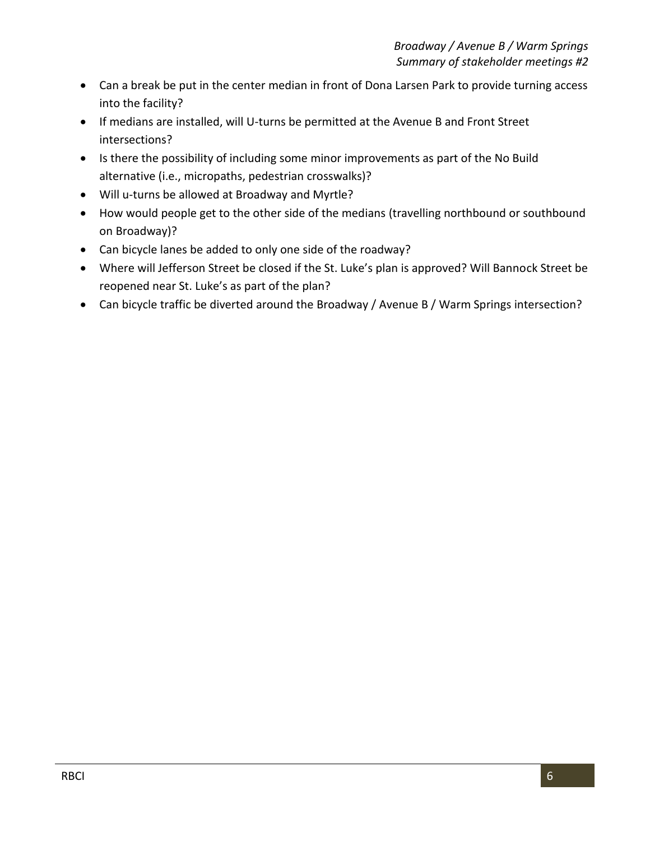- Can a break be put in the center median in front of Dona Larsen Park to provide turning access into the facility?
- If medians are installed, will U-turns be permitted at the Avenue B and Front Street intersections?
- Is there the possibility of including some minor improvements as part of the No Build alternative (i.e., micropaths, pedestrian crosswalks)?
- Will u-turns be allowed at Broadway and Myrtle?
- How would people get to the other side of the medians (travelling northbound or southbound on Broadway)?
- Can bicycle lanes be added to only one side of the roadway?
- Where will Jefferson Street be closed if the St. Luke's plan is approved? Will Bannock Street be reopened near St. Luke's as part of the plan?
- Can bicycle traffic be diverted around the Broadway / Avenue B / Warm Springs intersection?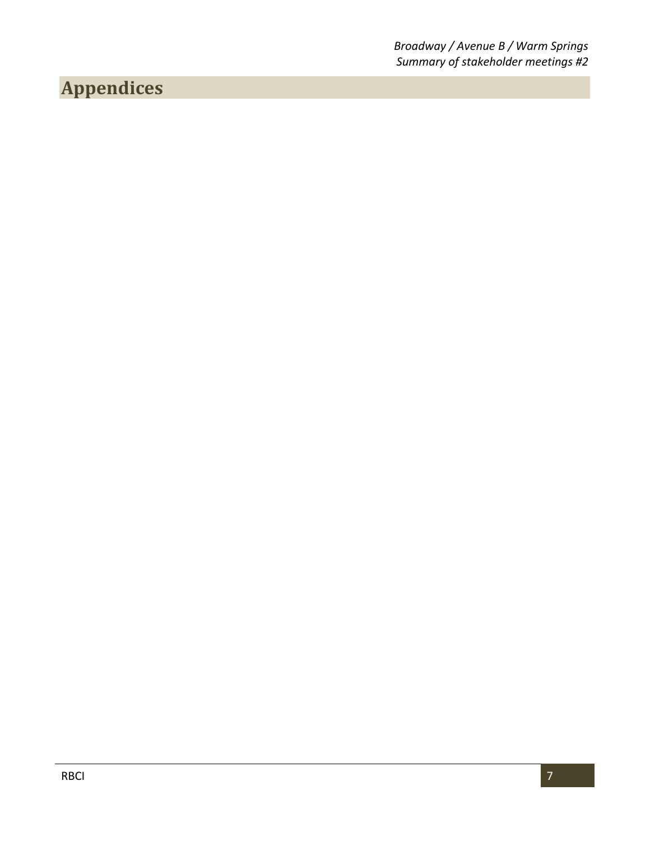*Broadway / Avenue B / Warm Springs Summary of stakeholder meetings #2*

# **Appendices**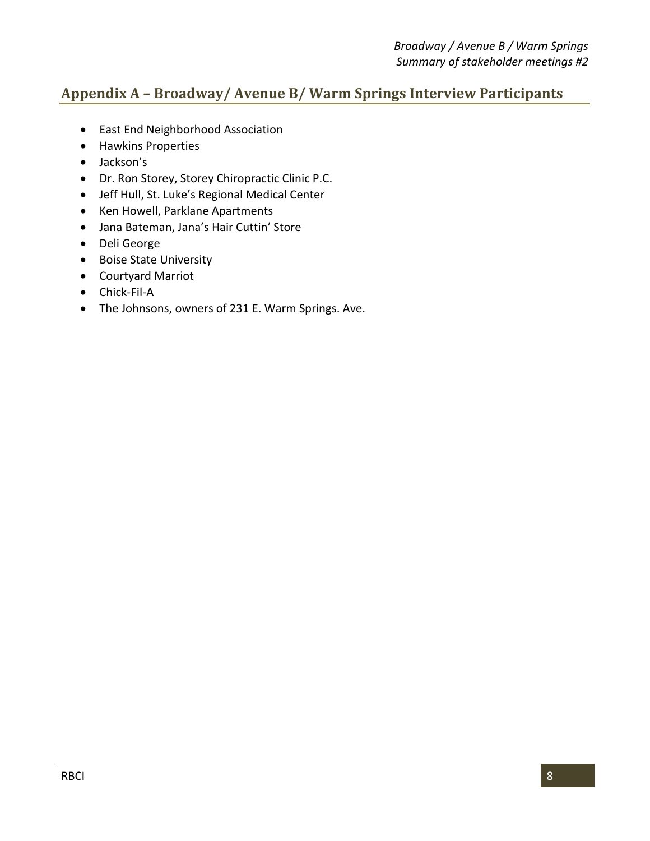### **Appendix A – Broadway/ Avenue B/ Warm Springs Interview Participants**

- East End Neighborhood Association
- Hawkins Properties
- Jackson's
- Dr. Ron Storey, Storey Chiropractic Clinic P.C.
- Jeff Hull, St. Luke's Regional Medical Center
- Ken Howell, Parklane Apartments
- Jana Bateman, Jana's Hair Cuttin' Store
- Deli George
- Boise State University
- Courtyard Marriot
- Chick-Fil-A
- The Johnsons, owners of 231 E. Warm Springs. Ave.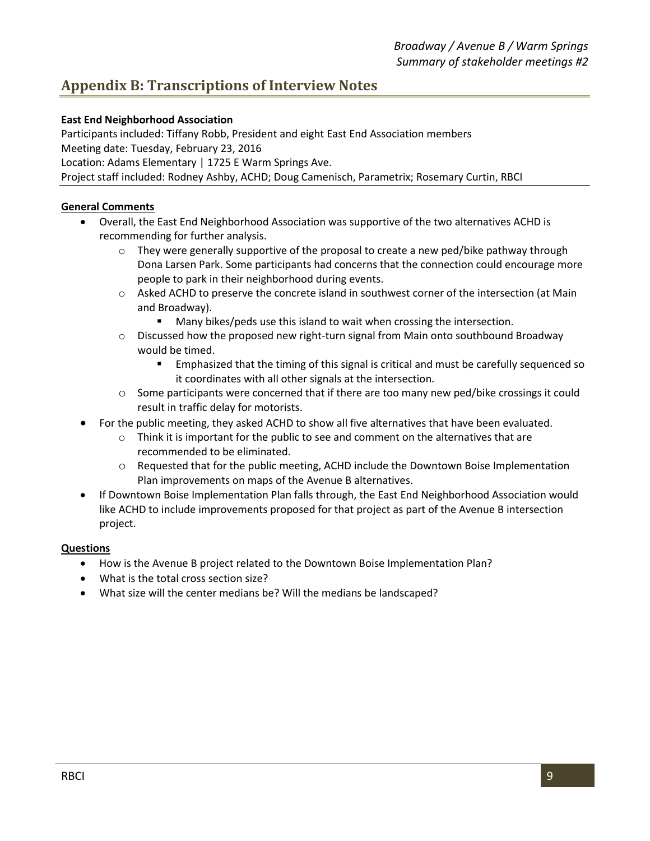### **Appendix B: Transcriptions of Interview Notes**

#### **East End Neighborhood Association**

Participants included: Tiffany Robb, President and eight East End Association members Meeting date: Tuesday, February 23, 2016 Location: Adams Elementary | 1725 E Warm Springs Ave.

Project staff included: Rodney Ashby, ACHD; Doug Camenisch, Parametrix; Rosemary Curtin, RBCI

#### **General Comments**

- Overall, the East End Neighborhood Association was supportive of the two alternatives ACHD is recommending for further analysis.
	- $\circ$  They were generally supportive of the proposal to create a new ped/bike pathway through Dona Larsen Park. Some participants had concerns that the connection could encourage more people to park in their neighborhood during events.
	- o Asked ACHD to preserve the concrete island in southwest corner of the intersection (at Main and Broadway).
		- **Many bikes/peds use this island to wait when crossing the intersection.**
	- $\circ$  Discussed how the proposed new right-turn signal from Main onto southbound Broadway would be timed.
		- Emphasized that the timing of this signal is critical and must be carefully sequenced so it coordinates with all other signals at the intersection.
	- $\circ$  Some participants were concerned that if there are too many new ped/bike crossings it could result in traffic delay for motorists.
- For the public meeting, they asked ACHD to show all five alternatives that have been evaluated.
	- $\circ$  Think it is important for the public to see and comment on the alternatives that are recommended to be eliminated.
	- o Requested that for the public meeting, ACHD include the Downtown Boise Implementation Plan improvements on maps of the Avenue B alternatives.
- If Downtown Boise Implementation Plan falls through, the East End Neighborhood Association would like ACHD to include improvements proposed for that project as part of the Avenue B intersection project.

- How is the Avenue B project related to the Downtown Boise Implementation Plan?
- What is the total cross section size?
- What size will the center medians be? Will the medians be landscaped?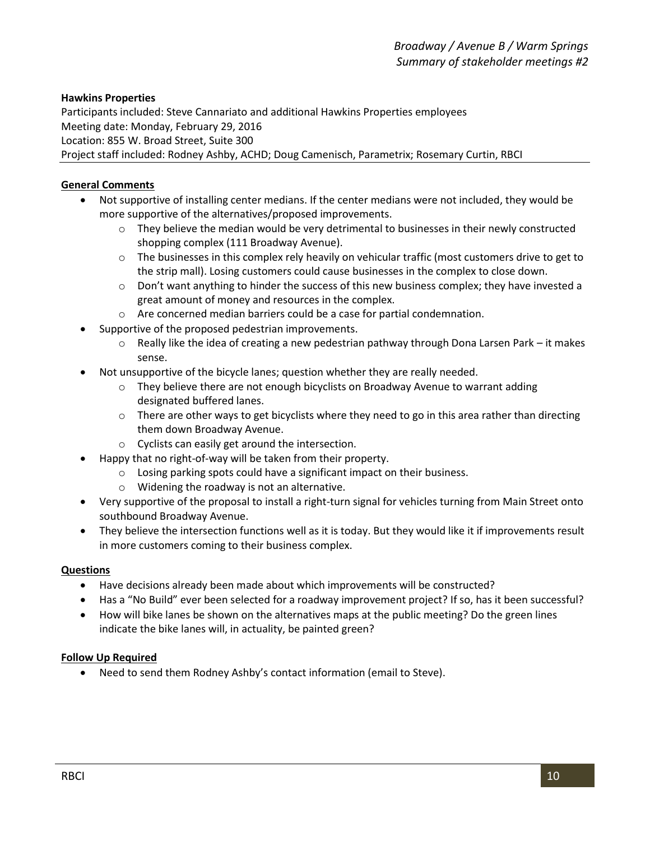#### **Hawkins Properties**

Participants included: Steve Cannariato and additional Hawkins Properties employees Meeting date: Monday, February 29, 2016 Location: 855 W. Broad Street, Suite 300 Project staff included: Rodney Ashby, ACHD; Doug Camenisch, Parametrix; Rosemary Curtin, RBCI

#### **General Comments**

- Not supportive of installing center medians. If the center medians were not included, they would be more supportive of the alternatives/proposed improvements.
	- o They believe the median would be very detrimental to businesses in their newly constructed shopping complex (111 Broadway Avenue).
	- o The businesses in this complex rely heavily on vehicular traffic (most customers drive to get to the strip mall). Losing customers could cause businesses in the complex to close down.
	- $\circ$  Don't want anything to hinder the success of this new business complex; they have invested a great amount of money and resources in the complex.
	- o Are concerned median barriers could be a case for partial condemnation.
	- Supportive of the proposed pedestrian improvements.
		- $\circ$  Really like the idea of creating a new pedestrian pathway through Dona Larsen Park it makes sense.
- Not unsupportive of the bicycle lanes; question whether they are really needed.
	- $\circ$  They believe there are not enough bicyclists on Broadway Avenue to warrant adding designated buffered lanes.
	- o There are other ways to get bicyclists where they need to go in this area rather than directing them down Broadway Avenue.
	- o Cyclists can easily get around the intersection.
- Happy that no right-of-way will be taken from their property.
	- o Losing parking spots could have a significant impact on their business.
	- o Widening the roadway is not an alternative.
- Very supportive of the proposal to install a right-turn signal for vehicles turning from Main Street onto southbound Broadway Avenue.
- They believe the intersection functions well as it is today. But they would like it if improvements result in more customers coming to their business complex.

#### **Questions**

- Have decisions already been made about which improvements will be constructed?
- Has a "No Build" ever been selected for a roadway improvement project? If so, has it been successful?
- How will bike lanes be shown on the alternatives maps at the public meeting? Do the green lines indicate the bike lanes will, in actuality, be painted green?

#### **Follow Up Required**

Need to send them Rodney Ashby's contact information (email to Steve).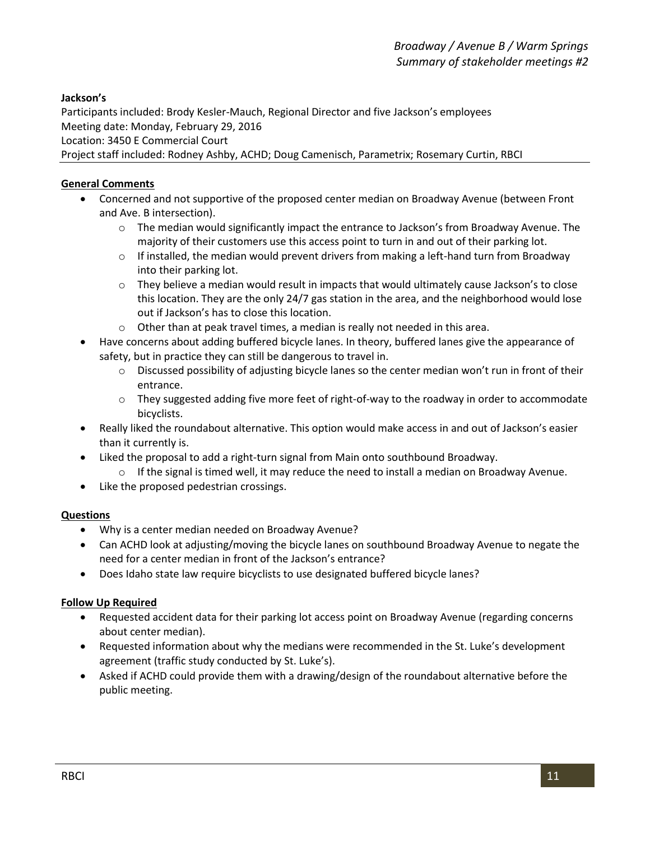#### **Jackson's**

Participants included: Brody Kesler-Mauch, Regional Director and five Jackson's employees Meeting date: Monday, February 29, 2016 Location: 3450 E Commercial Court Project staff included: Rodney Ashby, ACHD; Doug Camenisch, Parametrix; Rosemary Curtin, RBCI

#### **General Comments**

- Concerned and not supportive of the proposed center median on Broadway Avenue (between Front and Ave. B intersection).
	- o The median would significantly impact the entrance to Jackson's from Broadway Avenue. The majority of their customers use this access point to turn in and out of their parking lot.
	- $\circ$  If installed, the median would prevent drivers from making a left-hand turn from Broadway into their parking lot.
	- o They believe a median would result in impacts that would ultimately cause Jackson's to close this location. They are the only 24/7 gas station in the area, and the neighborhood would lose out if Jackson's has to close this location.
	- o Other than at peak travel times, a median is really not needed in this area.
- Have concerns about adding buffered bicycle lanes. In theory, buffered lanes give the appearance of safety, but in practice they can still be dangerous to travel in.
	- o Discussed possibility of adjusting bicycle lanes so the center median won't run in front of their entrance.
	- o They suggested adding five more feet of right-of-way to the roadway in order to accommodate bicyclists.
- Really liked the roundabout alternative. This option would make access in and out of Jackson's easier than it currently is.
- Liked the proposal to add a right-turn signal from Main onto southbound Broadway.
	- $\circ$  If the signal is timed well, it may reduce the need to install a median on Broadway Avenue.
- Like the proposed pedestrian crossings.

#### **Questions**

- Why is a center median needed on Broadway Avenue?
- Can ACHD look at adjusting/moving the bicycle lanes on southbound Broadway Avenue to negate the need for a center median in front of the Jackson's entrance?
- Does Idaho state law require bicyclists to use designated buffered bicycle lanes?

#### **Follow Up Required**

- Requested accident data for their parking lot access point on Broadway Avenue (regarding concerns about center median).
- Requested information about why the medians were recommended in the St. Luke's development agreement (traffic study conducted by St. Luke's).
- Asked if ACHD could provide them with a drawing/design of the roundabout alternative before the public meeting.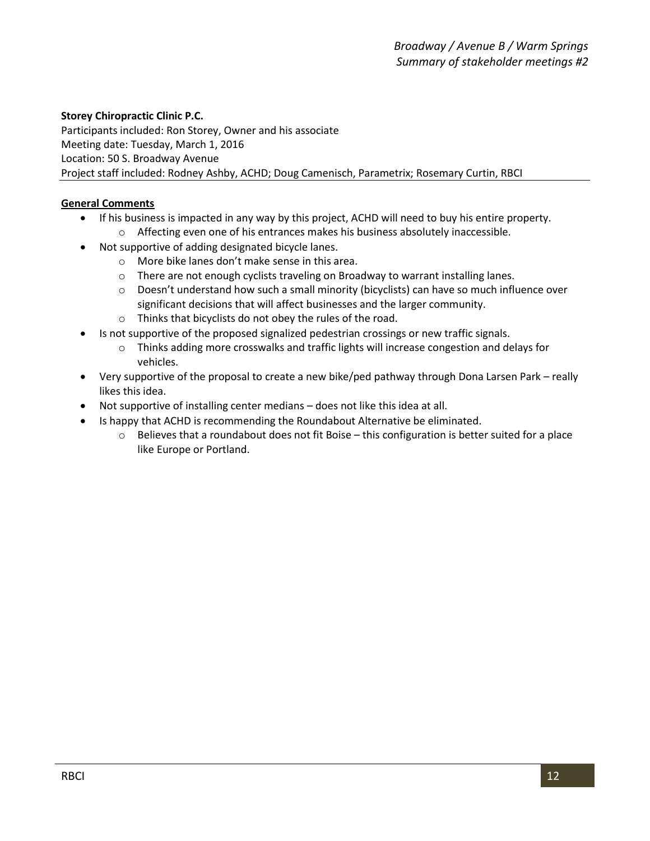#### **Storey Chiropractic Clinic P.C.**

Participants included: Ron Storey, Owner and his associate Meeting date: Tuesday, March 1, 2016 Location: 50 S. Broadway Avenue Project staff included: Rodney Ashby, ACHD; Doug Camenisch, Parametrix; Rosemary Curtin, RBCI

#### **General Comments**

- If his business is impacted in any way by this project, ACHD will need to buy his entire property.
	- o Affecting even one of his entrances makes his business absolutely inaccessible.
- Not supportive of adding designated bicycle lanes.
	- o More bike lanes don't make sense in this area.
	- o There are not enough cyclists traveling on Broadway to warrant installing lanes.
	- o Doesn't understand how such a small minority (bicyclists) can have so much influence over significant decisions that will affect businesses and the larger community.
	- o Thinks that bicyclists do not obey the rules of the road.
- Is not supportive of the proposed signalized pedestrian crossings or new traffic signals.
	- o Thinks adding more crosswalks and traffic lights will increase congestion and delays for vehicles.
- Very supportive of the proposal to create a new bike/ped pathway through Dona Larsen Park really likes this idea.
- Not supportive of installing center medians does not like this idea at all.
- Is happy that ACHD is recommending the Roundabout Alternative be eliminated.
	- o Believes that a roundabout does not fit Boise this configuration is better suited for a place like Europe or Portland.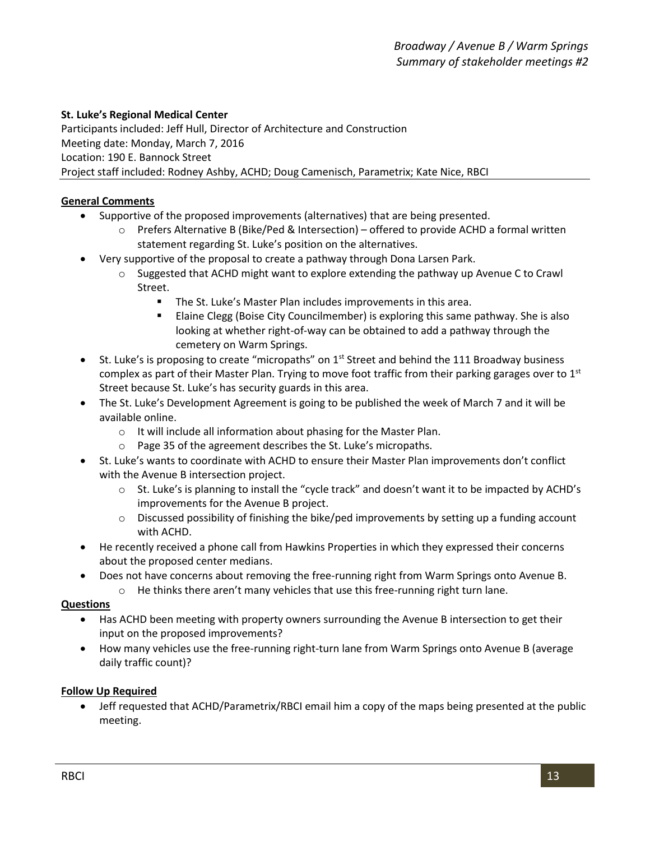#### **St. Luke's Regional Medical Center**

Participants included: Jeff Hull, Director of Architecture and Construction Meeting date: Monday, March 7, 2016 Location: 190 E. Bannock Street Project staff included: Rodney Ashby, ACHD; Doug Camenisch, Parametrix; Kate Nice, RBCI

#### **General Comments**

- Supportive of the proposed improvements (alternatives) that are being presented.
	- o Prefers Alternative B (Bike/Ped & Intersection) offered to provide ACHD a formal written statement regarding St. Luke's position on the alternatives.
- Very supportive of the proposal to create a pathway through Dona Larsen Park.
	- o Suggested that ACHD might want to explore extending the pathway up Avenue C to Crawl Street.
		- **The St. Luke's Master Plan includes improvements in this area.**
		- Elaine Clegg (Boise City Councilmember) is exploring this same pathway. She is also looking at whether right-of-way can be obtained to add a pathway through the cemetery on Warm Springs.
- St. Luke's is proposing to create "micropaths" on 1<sup>st</sup> Street and behind the 111 Broadway business complex as part of their Master Plan. Trying to move foot traffic from their parking garages over to  $1<sup>st</sup>$ Street because St. Luke's has security guards in this area.
- The St. Luke's Development Agreement is going to be published the week of March 7 and it will be available online.
	- o It will include all information about phasing for the Master Plan.
	- o Page 35 of the agreement describes the St. Luke's micropaths.
- St. Luke's wants to coordinate with ACHD to ensure their Master Plan improvements don't conflict with the Avenue B intersection project.
	- o St. Luke's is planning to install the "cycle track" and doesn't want it to be impacted by ACHD's improvements for the Avenue B project.
	- $\circ$  Discussed possibility of finishing the bike/ped improvements by setting up a funding account with ACHD.
- He recently received a phone call from Hawkins Properties in which they expressed their concerns about the proposed center medians.
- Does not have concerns about removing the free-running right from Warm Springs onto Avenue B.
	- o He thinks there aren't many vehicles that use this free-running right turn lane.

#### **Questions**

- Has ACHD been meeting with property owners surrounding the Avenue B intersection to get their input on the proposed improvements?
- How many vehicles use the free-running right-turn lane from Warm Springs onto Avenue B (average daily traffic count)?

#### **Follow Up Required**

 Jeff requested that ACHD/Parametrix/RBCI email him a copy of the maps being presented at the public meeting.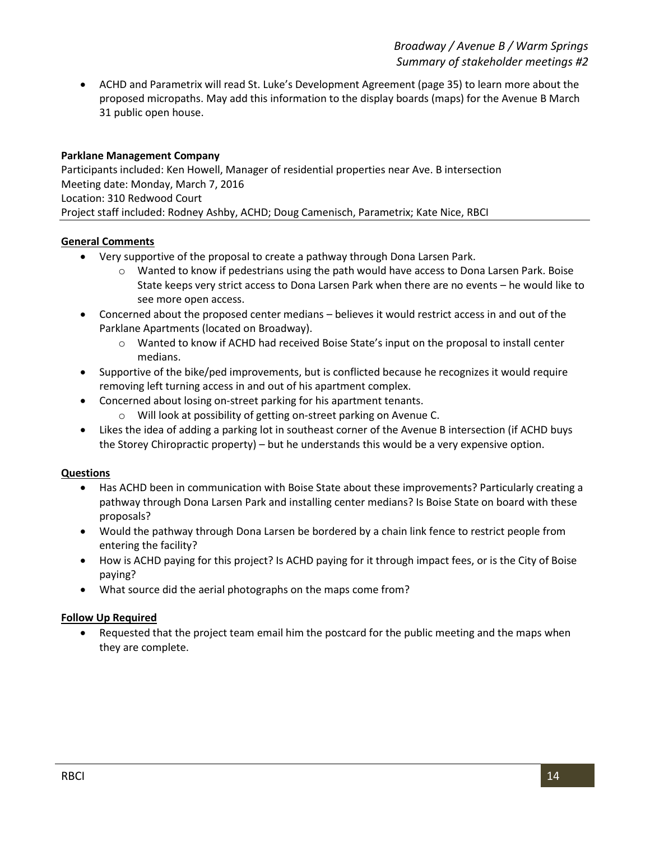ACHD and Parametrix will read St. Luke's Development Agreement (page 35) to learn more about the proposed micropaths. May add this information to the display boards (maps) for the Avenue B March 31 public open house.

#### **Parklane Management Company**

Participants included: Ken Howell, Manager of residential properties near Ave. B intersection Meeting date: Monday, March 7, 2016 Location: 310 Redwood Court Project staff included: Rodney Ashby, ACHD; Doug Camenisch, Parametrix; Kate Nice, RBCI

#### **General Comments**

- Very supportive of the proposal to create a pathway through Dona Larsen Park.
	- o Wanted to know if pedestrians using the path would have access to Dona Larsen Park. Boise State keeps very strict access to Dona Larsen Park when there are no events – he would like to see more open access.
- Concerned about the proposed center medians believes it would restrict access in and out of the Parklane Apartments (located on Broadway).
	- o Wanted to know if ACHD had received Boise State's input on the proposal to install center medians.
- Supportive of the bike/ped improvements, but is conflicted because he recognizes it would require removing left turning access in and out of his apartment complex.
- Concerned about losing on-street parking for his apartment tenants.
	- o Will look at possibility of getting on-street parking on Avenue C.
- Likes the idea of adding a parking lot in southeast corner of the Avenue B intersection (if ACHD buys the Storey Chiropractic property) – but he understands this would be a very expensive option.

#### **Questions**

- Has ACHD been in communication with Boise State about these improvements? Particularly creating a pathway through Dona Larsen Park and installing center medians? Is Boise State on board with these proposals?
- Would the pathway through Dona Larsen be bordered by a chain link fence to restrict people from entering the facility?
- How is ACHD paying for this project? Is ACHD paying for it through impact fees, or is the City of Boise paying?
- What source did the aerial photographs on the maps come from?

#### **Follow Up Required**

 Requested that the project team email him the postcard for the public meeting and the maps when they are complete.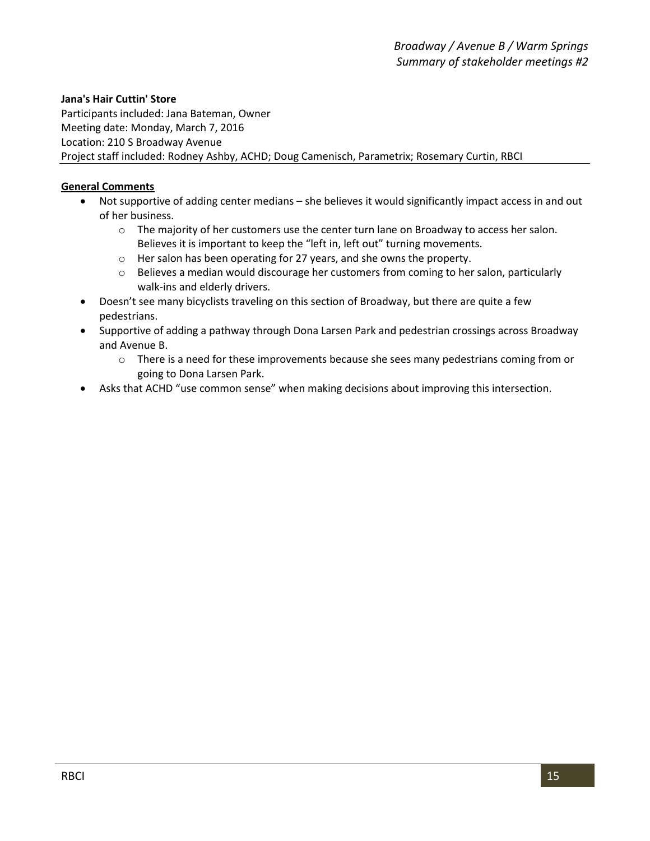#### **Jana's Hair Cuttin' Store**

Participants included: Jana Bateman, Owner Meeting date: Monday, March 7, 2016 Location: 210 S Broadway Avenue Project staff included: Rodney Ashby, ACHD; Doug Camenisch, Parametrix; Rosemary Curtin, RBCI

#### **General Comments**

- Not supportive of adding center medians she believes it would significantly impact access in and out of her business.
	- o The majority of her customers use the center turn lane on Broadway to access her salon. Believes it is important to keep the "left in, left out" turning movements.
	- o Her salon has been operating for 27 years, and she owns the property.
	- o Believes a median would discourage her customers from coming to her salon, particularly walk-ins and elderly drivers.
- Doesn't see many bicyclists traveling on this section of Broadway, but there are quite a few pedestrians.
- Supportive of adding a pathway through Dona Larsen Park and pedestrian crossings across Broadway and Avenue B.
	- o There is a need for these improvements because she sees many pedestrians coming from or going to Dona Larsen Park.
- Asks that ACHD "use common sense" when making decisions about improving this intersection.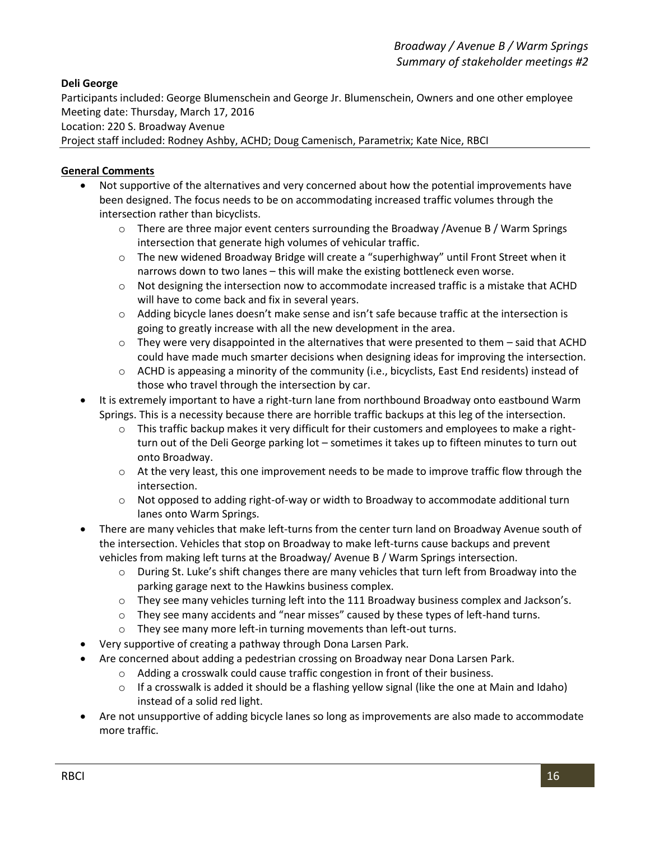#### **Deli George**

Participants included: George Blumenschein and George Jr. Blumenschein, Owners and one other employee Meeting date: Thursday, March 17, 2016

Location: 220 S. Broadway Avenue

Project staff included: Rodney Ashby, ACHD; Doug Camenisch, Parametrix; Kate Nice, RBCI

#### **General Comments**

- Not supportive of the alternatives and very concerned about how the potential improvements have been designed. The focus needs to be on accommodating increased traffic volumes through the intersection rather than bicyclists.
	- o There are three major event centers surrounding the Broadway /Avenue B / Warm Springs intersection that generate high volumes of vehicular traffic.
	- o The new widened Broadway Bridge will create a "superhighway" until Front Street when it narrows down to two lanes – this will make the existing bottleneck even worse.
	- o Not designing the intersection now to accommodate increased traffic is a mistake that ACHD will have to come back and fix in several years.
	- o Adding bicycle lanes doesn't make sense and isn't safe because traffic at the intersection is going to greatly increase with all the new development in the area.
	- $\circ$  They were very disappointed in the alternatives that were presented to them said that ACHD could have made much smarter decisions when designing ideas for improving the intersection.
	- o ACHD is appeasing a minority of the community (i.e., bicyclists, East End residents) instead of those who travel through the intersection by car.
- It is extremely important to have a right-turn lane from northbound Broadway onto eastbound Warm Springs. This is a necessity because there are horrible traffic backups at this leg of the intersection.
	- $\circ$  This traffic backup makes it very difficult for their customers and employees to make a rightturn out of the Deli George parking lot – sometimes it takes up to fifteen minutes to turn out onto Broadway.
	- o At the very least, this one improvement needs to be made to improve traffic flow through the intersection.
	- o Not opposed to adding right-of-way or width to Broadway to accommodate additional turn lanes onto Warm Springs.
- There are many vehicles that make left-turns from the center turn land on Broadway Avenue south of the intersection. Vehicles that stop on Broadway to make left-turns cause backups and prevent vehicles from making left turns at the Broadway/ Avenue B / Warm Springs intersection.
	- o During St. Luke's shift changes there are many vehicles that turn left from Broadway into the parking garage next to the Hawkins business complex.
	- o They see many vehicles turning left into the 111 Broadway business complex and Jackson's.
	- o They see many accidents and "near misses" caused by these types of left-hand turns.
	- o They see many more left-in turning movements than left-out turns.
- Very supportive of creating a pathway through Dona Larsen Park.
- Are concerned about adding a pedestrian crossing on Broadway near Dona Larsen Park.
	- o Adding a crosswalk could cause traffic congestion in front of their business.
	- $\circ$  If a crosswalk is added it should be a flashing yellow signal (like the one at Main and Idaho) instead of a solid red light.
- Are not unsupportive of adding bicycle lanes so long as improvements are also made to accommodate more traffic.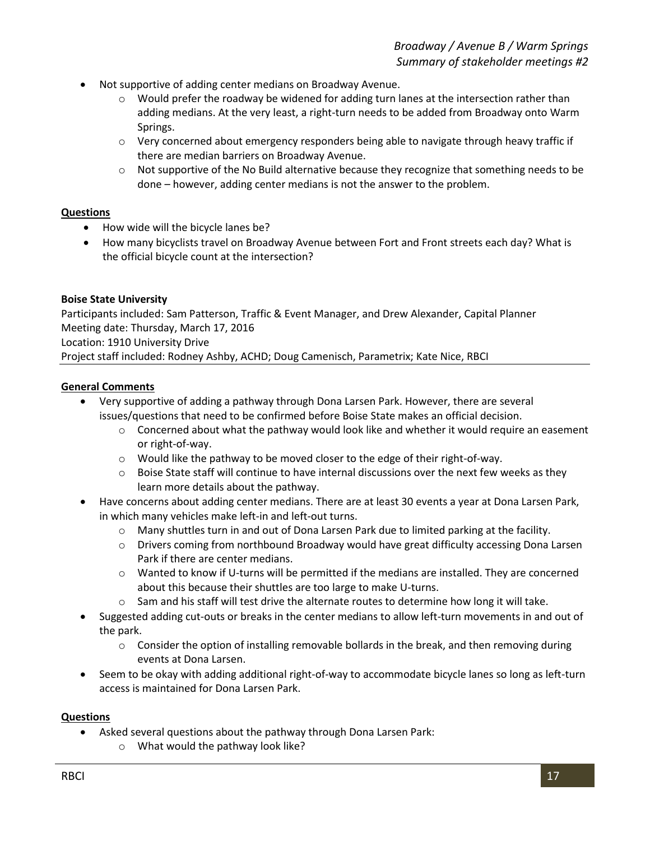- Not supportive of adding center medians on Broadway Avenue.
	- $\circ$  Would prefer the roadway be widened for adding turn lanes at the intersection rather than adding medians. At the very least, a right-turn needs to be added from Broadway onto Warm Springs.
	- $\circ$  Very concerned about emergency responders being able to navigate through heavy traffic if there are median barriers on Broadway Avenue.
	- o Not supportive of the No Build alternative because they recognize that something needs to be done – however, adding center medians is not the answer to the problem.

#### **Questions**

- How wide will the bicycle lanes be?
- How many bicyclists travel on Broadway Avenue between Fort and Front streets each day? What is the official bicycle count at the intersection?

#### **Boise State University**

Participants included: Sam Patterson, Traffic & Event Manager, and Drew Alexander, Capital Planner Meeting date: Thursday, March 17, 2016 Location: 1910 University Drive

Project staff included: Rodney Ashby, ACHD; Doug Camenisch, Parametrix; Kate Nice, RBCI

#### **General Comments**

- Very supportive of adding a pathway through Dona Larsen Park. However, there are several issues/questions that need to be confirmed before Boise State makes an official decision.
	- $\circ$  Concerned about what the pathway would look like and whether it would require an easement or right-of-way.
	- o Would like the pathway to be moved closer to the edge of their right-of-way.
	- $\circ$  Boise State staff will continue to have internal discussions over the next few weeks as they learn more details about the pathway.
- Have concerns about adding center medians. There are at least 30 events a year at Dona Larsen Park, in which many vehicles make left-in and left-out turns.
	- o Many shuttles turn in and out of Dona Larsen Park due to limited parking at the facility.
	- o Drivers coming from northbound Broadway would have great difficulty accessing Dona Larsen Park if there are center medians.
	- o Wanted to know if U-turns will be permitted if the medians are installed. They are concerned about this because their shuttles are too large to make U-turns.
	- $\circ$  Sam and his staff will test drive the alternate routes to determine how long it will take.
- Suggested adding cut-outs or breaks in the center medians to allow left-turn movements in and out of the park.
	- $\circ$  Consider the option of installing removable bollards in the break, and then removing during events at Dona Larsen.
- Seem to be okay with adding additional right-of-way to accommodate bicycle lanes so long as left-turn access is maintained for Dona Larsen Park.

- Asked several questions about the pathway through Dona Larsen Park:
	- o What would the pathway look like?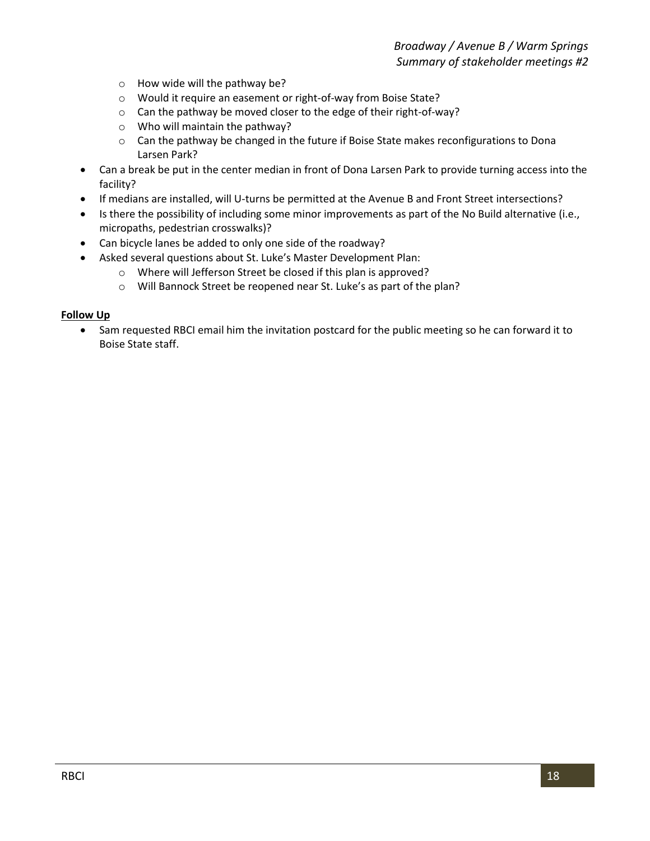- o How wide will the pathway be?
- o Would it require an easement or right-of-way from Boise State?
- o Can the pathway be moved closer to the edge of their right-of-way?
- o Who will maintain the pathway?
- o Can the pathway be changed in the future if Boise State makes reconfigurations to Dona Larsen Park?
- Can a break be put in the center median in front of Dona Larsen Park to provide turning access into the facility?
- If medians are installed, will U-turns be permitted at the Avenue B and Front Street intersections?
- Is there the possibility of including some minor improvements as part of the No Build alternative (i.e., micropaths, pedestrian crosswalks)?
- Can bicycle lanes be added to only one side of the roadway?
- Asked several questions about St. Luke's Master Development Plan:
	- o Where will Jefferson Street be closed if this plan is approved?
	- o Will Bannock Street be reopened near St. Luke's as part of the plan?

#### **Follow Up**

 Sam requested RBCI email him the invitation postcard for the public meeting so he can forward it to Boise State staff.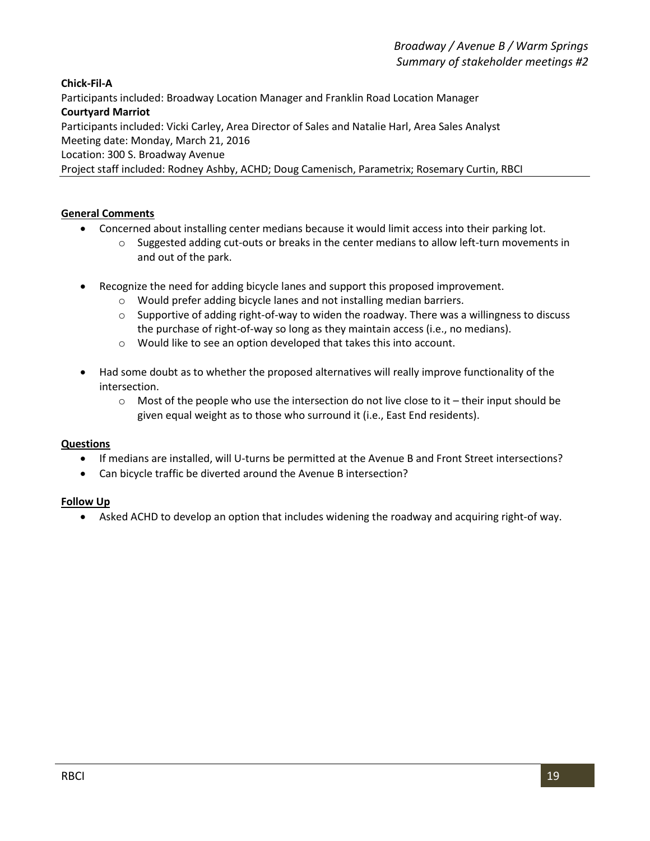**Chick-Fil-A**

Participants included: Broadway Location Manager and Franklin Road Location Manager

#### **Courtyard Marriot**

Participants included: Vicki Carley, Area Director of Sales and Natalie Harl, Area Sales Analyst

Meeting date: Monday, March 21, 2016

Location: 300 S. Broadway Avenue

Project staff included: Rodney Ashby, ACHD; Doug Camenisch, Parametrix; Rosemary Curtin, RBCI

#### **General Comments**

- Concerned about installing center medians because it would limit access into their parking lot.
	- $\circ$  Suggested adding cut-outs or breaks in the center medians to allow left-turn movements in and out of the park.
- Recognize the need for adding bicycle lanes and support this proposed improvement.
	- o Would prefer adding bicycle lanes and not installing median barriers.
	- $\circ$  Supportive of adding right-of-way to widen the roadway. There was a willingness to discuss the purchase of right-of-way so long as they maintain access (i.e., no medians).
	- o Would like to see an option developed that takes this into account.
- Had some doubt as to whether the proposed alternatives will really improve functionality of the intersection.
	- $\circ$  Most of the people who use the intersection do not live close to it their input should be given equal weight as to those who surround it (i.e., East End residents).

#### **Questions**

- If medians are installed, will U-turns be permitted at the Avenue B and Front Street intersections?
- Can bicycle traffic be diverted around the Avenue B intersection?

#### **Follow Up**

Asked ACHD to develop an option that includes widening the roadway and acquiring right-of way.